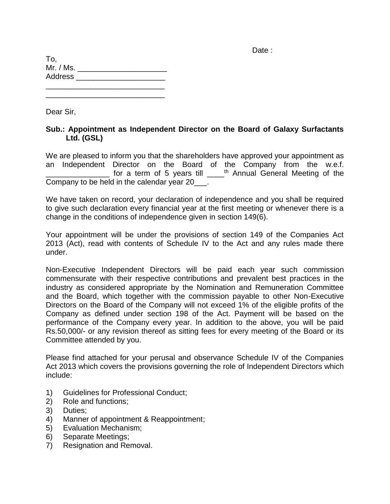Date :

| To,            |  |  |  |
|----------------|--|--|--|
| Mr. / Ms.      |  |  |  |
| <b>Address</b> |  |  |  |
|                |  |  |  |

\_\_\_\_\_\_\_\_\_\_\_\_\_\_\_\_\_\_\_\_\_\_\_\_\_\_\_\_

Dear Sir,

#### **Sub.: Appointment as Independent Director on the Board of Galaxy Surfactants Ltd. (GSL)**

We are pleased to inform you that the shareholders have approved your appointment as an Independent Director on the Board of the Company from the w.e.f. <u>\_\_\_\_\_\_\_\_\_\_</u> for a term of 5 years till \_\_\_\_<sup>th</sup> Annual General Meeting of the Company to be held in the calendar year 20\_\_\_.

We have taken on record, your declaration of independence and you shall be required to give such declaration every financial year at the first meeting or whenever there is a change in the conditions of independence given in section 149(6).

Your appointment will be under the provisions of section 149 of the Companies Act 2013 (Act), read with contents of Schedule IV to the Act and any rules made there under.

Non-Executive Independent Directors will be paid each year such commission commensurate with their respective contributions and prevalent best practices in the industry as considered appropriate by the Nomination and Remuneration Committee and the Board, which together with the commission payable to other Non-Executive Directors on the Board of the Company will not exceed 1% of the eligible profits of the Company as defined under section 198 of the Act. Payment will be based on the performance of the Company every year. In addition to the above, you will be paid Rs.50,000/- or any revision thereof as sitting fees for every meeting of the Board or its Committee attended by you.

Please find attached for your perusal and observance Schedule IV of the Companies Act 2013 which covers the provisions governing the role of Independent Directors which include:

- 1) Guidelines for Professional Conduct;
- 2) Role and functions;
- 3) Duties;
- 4) Manner of appointment & Reappointment;
- 5) Evaluation Mechanism;
- 6) Separate Meetings;
- 7) Resignation and Removal.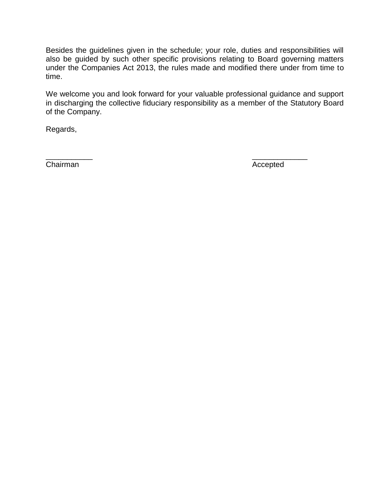Besides the guidelines given in the schedule; your role, duties and responsibilities will also be guided by such other specific provisions relating to Board governing matters under the Companies Act 2013, the rules made and modified there under from time to time.

We welcome you and look forward for your valuable professional guidance and support in discharging the collective fiduciary responsibility as a member of the Statutory Board of the Company.

\_\_\_\_\_\_\_\_\_\_\_ \_\_\_\_\_\_\_\_\_\_\_\_\_

Regards,

Chairman Accepted Accepted Accepted Accepted Accepted Accepted Accepted Accepted Accepted Accepted Accepted Accepted Accepted Accepted Accepted Accepted Accepted Accepted Accepted Accepted Accepted Accepted Accepted Accept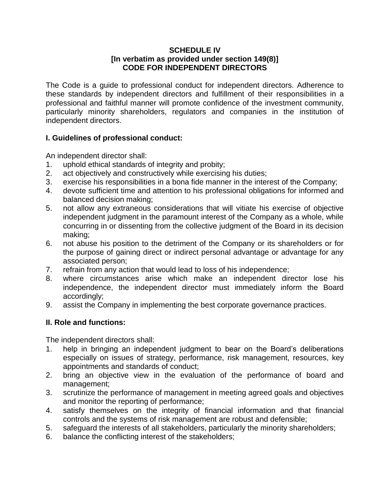#### **SCHEDULE IV [In verbatim as provided under section 149(8)] CODE FOR INDEPENDENT DIRECTORS**

The Code is a guide to professional conduct for independent directors. Adherence to these standards by independent directors and fulfillment of their responsibilities in a professional and faithful manner will promote confidence of the investment community, particularly minority shareholders, regulators and companies in the institution of independent directors.

# **I. Guidelines of professional conduct:**

An independent director shall:

- 1. uphold ethical standards of integrity and probity;
- 2. act objectively and constructively while exercising his duties;
- 3. exercise his responsibilities in a bona fide manner in the interest of the Company;
- 4. devote sufficient time and attention to his professional obligations for informed and balanced decision making;
- 5. not allow any extraneous considerations that will vitiate his exercise of objective independent judgment in the paramount interest of the Company as a whole, while concurring in or dissenting from the collective judgment of the Board in its decision making;
- 6. not abuse his position to the detriment of the Company or its shareholders or for the purpose of gaining direct or indirect personal advantage or advantage for any associated person;
- 7. refrain from any action that would lead to loss of his independence;
- 8. where circumstances arise which make an independent director lose his independence, the independent director must immediately inform the Board accordingly;
- 9. assist the Company in implementing the best corporate governance practices.

# **II. Role and functions:**

The independent directors shall:

- 1. help in bringing an independent judgment to bear on the Board's deliberations especially on issues of strategy, performance, risk management, resources, key appointments and standards of conduct;
- 2. bring an objective view in the evaluation of the performance of board and management;
- 3. scrutinize the performance of management in meeting agreed goals and objectives and monitor the reporting of performance;
- 4. satisfy themselves on the integrity of financial information and that financial controls and the systems of risk management are robust and defensible;
- 5. safeguard the interests of all stakeholders, particularly the minority shareholders;
- 6. balance the conflicting interest of the stakeholders;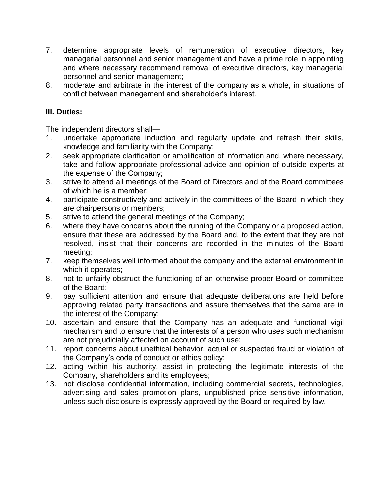- 7. determine appropriate levels of remuneration of executive directors, key managerial personnel and senior management and have a prime role in appointing and where necessary recommend removal of executive directors, key managerial personnel and senior management;
- 8. moderate and arbitrate in the interest of the company as a whole, in situations of conflict between management and shareholder's interest.

# **III. Duties:**

The independent directors shall—

- 1. undertake appropriate induction and regularly update and refresh their skills, knowledge and familiarity with the Company;
- 2. seek appropriate clarification or amplification of information and, where necessary, take and follow appropriate professional advice and opinion of outside experts at the expense of the Company;
- 3. strive to attend all meetings of the Board of Directors and of the Board committees of which he is a member;
- 4. participate constructively and actively in the committees of the Board in which they are chairpersons or members;
- 5. strive to attend the general meetings of the Company;
- 6. where they have concerns about the running of the Company or a proposed action, ensure that these are addressed by the Board and, to the extent that they are not resolved, insist that their concerns are recorded in the minutes of the Board meeting;
- 7. keep themselves well informed about the company and the external environment in which it operates;
- 8. not to unfairly obstruct the functioning of an otherwise proper Board or committee of the Board;
- 9. pay sufficient attention and ensure that adequate deliberations are held before approving related party transactions and assure themselves that the same are in the interest of the Company;
- 10. ascertain and ensure that the Company has an adequate and functional vigil mechanism and to ensure that the interests of a person who uses such mechanism are not prejudicially affected on account of such use;
- 11. report concerns about unethical behavior, actual or suspected fraud or violation of the Company's code of conduct or ethics policy;
- 12. acting within his authority, assist in protecting the legitimate interests of the Company, shareholders and its employees;
- 13. not disclose confidential information, including commercial secrets, technologies, advertising and sales promotion plans, unpublished price sensitive information, unless such disclosure is expressly approved by the Board or required by law.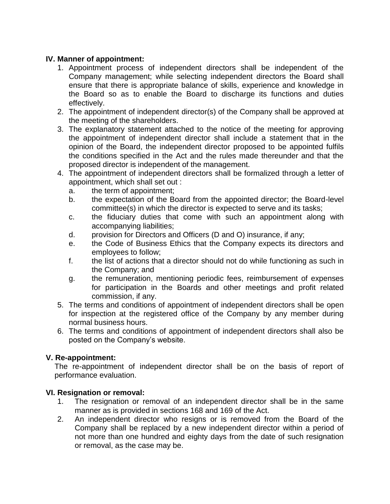### **IV. Manner of appointment:**

- 1. Appointment process of independent directors shall be independent of the Company management; while selecting independent directors the Board shall ensure that there is appropriate balance of skills, experience and knowledge in the Board so as to enable the Board to discharge its functions and duties effectively.
- 2. The appointment of independent director(s) of the Company shall be approved at the meeting of the shareholders.
- 3. The explanatory statement attached to the notice of the meeting for approving the appointment of independent director shall include a statement that in the opinion of the Board, the independent director proposed to be appointed fulfils the conditions specified in the Act and the rules made thereunder and that the proposed director is independent of the management.
- 4. The appointment of independent directors shall be formalized through a letter of appointment, which shall set out :
	- a. the term of appointment;
	- b. the expectation of the Board from the appointed director; the Board-level committee(s) in which the director is expected to serve and its tasks;
	- c. the fiduciary duties that come with such an appointment along with accompanying liabilities;
	- d. provision for Directors and Officers (D and O) insurance, if any;
	- e. the Code of Business Ethics that the Company expects its directors and employees to follow;
	- f. the list of actions that a director should not do while functioning as such in the Company; and
	- g. the remuneration, mentioning periodic fees, reimbursement of expenses for participation in the Boards and other meetings and profit related commission, if any.
- 5. The terms and conditions of appointment of independent directors shall be open for inspection at the registered office of the Company by any member during normal business hours.
- 6. The terms and conditions of appointment of independent directors shall also be posted on the Company's website.

# **V. Re-appointment:**

The re-appointment of independent director shall be on the basis of report of performance evaluation.

# **VI. Resignation or removal:**

- 1. The resignation or removal of an independent director shall be in the same manner as is provided in sections 168 and 169 of the Act.
- 2. An independent director who resigns or is removed from the Board of the Company shall be replaced by a new independent director within a period of not more than one hundred and eighty days from the date of such resignation or removal, as the case may be.